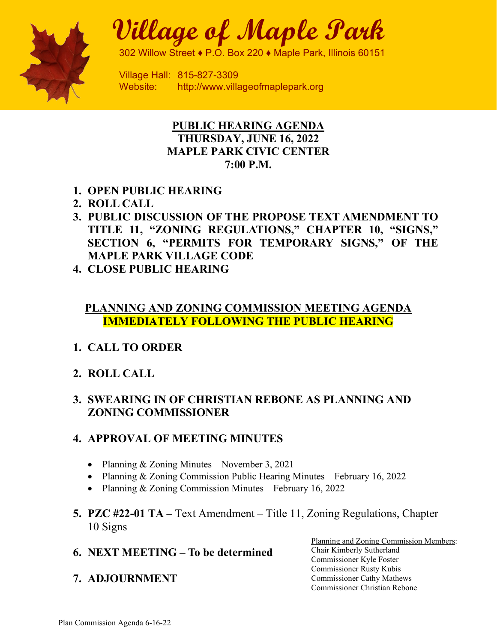

# **Village of Maple Park**

302 Willow Street ♦ P.O. Box 220 ♦ Maple Park, Illinois 60151

Village Hall: 815-827-3309 Website: http://www.villageofmaplepark.org

## **PUBLIC HEARING AGENDA THURSDAY, JUNE 16, 2022 MAPLE PARK CIVIC CENTER 7:00 P.M.**

- **1. OPEN PUBLIC HEARING**
- **2. ROLL CALL**
- **3. PUBLIC DISCUSSION OF THE PROPOSE TEXT AMENDMENT TO TITLE 11, "ZONING REGULATIONS," CHAPTER 10, "SIGNS," SECTION 6, "PERMITS FOR TEMPORARY SIGNS," OF THE MAPLE PARK VILLAGE CODE**
- **4. CLOSE PUBLIC HEARING**

## **PLANNING AND ZONING COMMISSION MEETING AGENDA IMMEDIATELY FOLLOWING THE PUBLIC HEARING**

## **1. CALL TO ORDER**

**2. ROLL CALL**

## **3. SWEARING IN OF CHRISTIAN REBONE AS PLANNING AND ZONING COMMISSIONER**

## **4. APPROVAL OF MEETING MINUTES**

- Planning & Zoning Minutes November 3, 2021
- Planning & Zoning Commission Public Hearing Minutes February 16, 2022
- Planning & Zoning Commission Minutes February 16, 2022
- **5. PZC #22-01 TA –** Text Amendment Title 11, Zoning Regulations, Chapter 10 Signs
- **6. NEXT MEETING – To be determined**
- **7. ADJOURNMENT**

Planning and Zoning Commission Members: Chair Kimberly Sutherland Commissioner Kyle Foster Commissioner Rusty Kubis Commissioner Cathy Mathews Commissioner Christian Rebone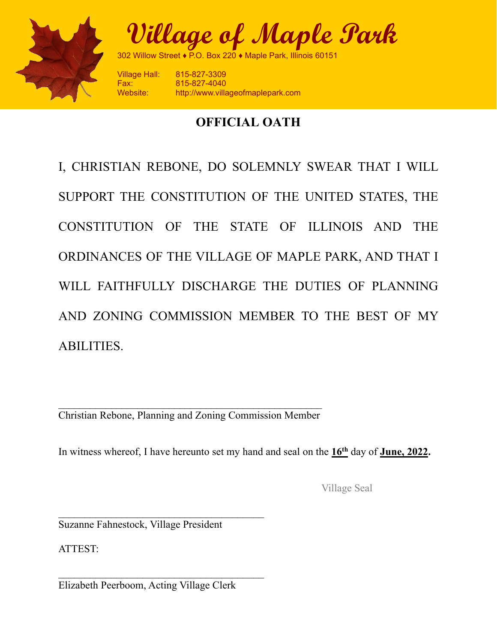

**Village of Maple Park**

302 Willow Street ♦ P.O. Box 220 ♦ Maple Park, Illinois 60151

Village Hall: 815-827-3309 Fax: 815-827-4040 http://www.villageofmaplepark.com

## **OFFICIAL OATH**

I, CHRISTIAN REBONE, DO SOLEMNLY SWEAR THAT I WILL SUPPORT THE CONSTITUTION OF THE UNITED STATES, THE CONSTITUTION OF THE STATE OF ILLINOIS AND THE ORDINANCES OF THE VILLAGE OF MAPLE PARK, AND THAT I WILL FAITHFULLY DISCHARGE THE DUTIES OF PLANNING AND ZONING COMMISSION MEMBER TO THE BEST OF MY ABILITIES.

\_\_\_\_\_\_\_\_\_\_\_\_\_\_\_\_\_\_\_\_\_\_\_\_\_\_\_\_\_\_\_\_\_\_\_\_\_\_\_\_\_\_\_\_\_\_\_\_\_\_ Christian Rebone, Planning and Zoning Commission Member

In witness whereof, I have hereunto set my hand and seal on the  $16<sup>th</sup>$  day of **June, 2022.** 

Village Seal

 $\mathcal{L}_\text{max}$  , where  $\mathcal{L}_\text{max}$  and  $\mathcal{L}_\text{max}$ Suzanne Fahnestock, Village President

ATTEST:

\_\_\_\_\_\_\_\_\_\_\_\_\_\_\_\_\_\_\_\_\_\_\_\_\_\_\_\_\_\_\_\_\_\_\_\_\_\_\_ Elizabeth Peerboom, Acting Village Clerk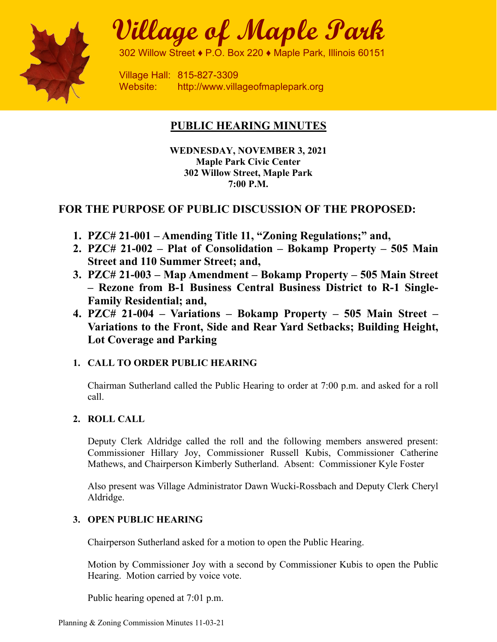

# **Village of Maple Park**

302 Willow Street ♦ P.O. Box 220 ♦ Maple Park, Illinois 60151

Village Hall: 815-827-3309 Website: http://www.villageofmaplepark.org

## **PUBLIC HEARING MINUTES**

**WEDNESDAY, NOVEMBER 3, 2021 Maple Park Civic Center 302 Willow Street, Maple Park 7:00 P.M.** 

## **FOR THE PURPOSE OF PUBLIC DISCUSSION OF THE PROPOSED:**

- **1. PZC# 21-001 Amending Title 11, "Zoning Regulations;" and,**
- **2. PZC# 21-002 Plat of Consolidation Bokamp Property 505 Main Street and 110 Summer Street; and,**
- **3. PZC# 21-003 Map Amendment Bokamp Property 505 Main Street – Rezone from B-1 Business Central Business District to R-1 Single-Family Residential; and,**
- **4. PZC# 21-004 Variations Bokamp Property 505 Main Street Variations to the Front, Side and Rear Yard Setbacks; Building Height, Lot Coverage and Parking**

## **1. CALL TO ORDER PUBLIC HEARING**

Chairman Sutherland called the Public Hearing to order at 7:00 p.m. and asked for a roll call.

## **2. ROLL CALL**

Deputy Clerk Aldridge called the roll and the following members answered present: Commissioner Hillary Joy, Commissioner Russell Kubis, Commissioner Catherine Mathews, and Chairperson Kimberly Sutherland. Absent: Commissioner Kyle Foster

Also present was Village Administrator Dawn Wucki-Rossbach and Deputy Clerk Cheryl Aldridge.

## **3. OPEN PUBLIC HEARING**

Chairperson Sutherland asked for a motion to open the Public Hearing.

Motion by Commissioner Joy with a second by Commissioner Kubis to open the Public Hearing. Motion carried by voice vote.

Public hearing opened at 7:01 p.m.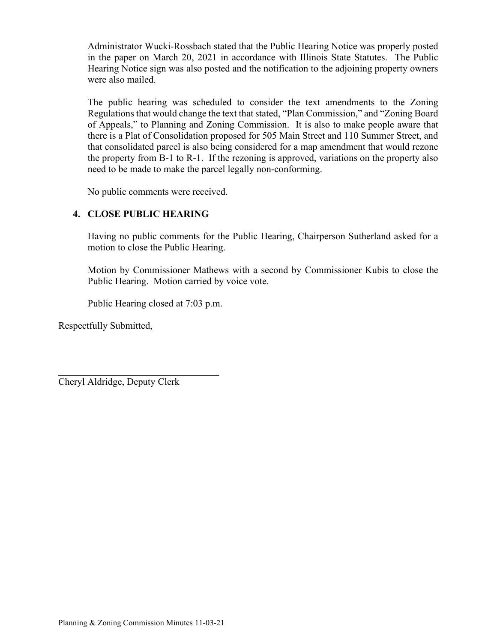Administrator Wucki-Rossbach stated that the Public Hearing Notice was properly posted in the paper on March 20, 2021 in accordance with Illinois State Statutes. The Public Hearing Notice sign was also posted and the notification to the adjoining property owners were also mailed.

The public hearing was scheduled to consider the text amendments to the Zoning Regulations that would change the text that stated, "Plan Commission," and "Zoning Board of Appeals," to Planning and Zoning Commission. It is also to make people aware that there is a Plat of Consolidation proposed for 505 Main Street and 110 Summer Street, and that consolidated parcel is also being considered for a map amendment that would rezone the property from B-1 to R-1. If the rezoning is approved, variations on the property also need to be made to make the parcel legally non-conforming.

No public comments were received.

## **4. CLOSE PUBLIC HEARING**

Having no public comments for the Public Hearing, Chairperson Sutherland asked for a motion to close the Public Hearing.

Motion by Commissioner Mathews with a second by Commissioner Kubis to close the Public Hearing. Motion carried by voice vote.

Public Hearing closed at 7:03 p.m.

Respectfully Submitted,

 $\mathcal{L}$  , which is a set of the set of the set of the set of the set of the set of the set of the set of the set of the set of the set of the set of the set of the set of the set of the set of the set of the set of the s Cheryl Aldridge, Deputy Clerk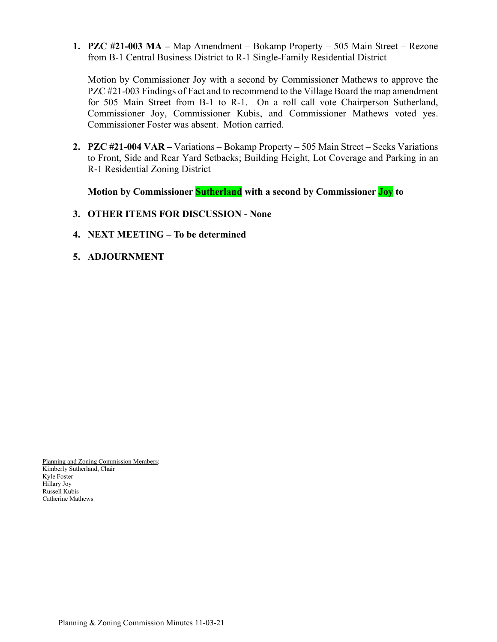**1. PZC #21-003 MA –** Map Amendment – Bokamp Property – 505 Main Street – Rezone from B-1 Central Business District to R-1 Single-Family Residential District

Motion by Commissioner Joy with a second by Commissioner Mathews to approve the PZC #21-003 Findings of Fact and to recommend to the Village Board the map amendment for 505 Main Street from B-1 to R-1. On a roll call vote Chairperson Sutherland, Commissioner Joy, Commissioner Kubis, and Commissioner Mathews voted yes. Commissioner Foster was absent. Motion carried.

**2. PZC #21-004 VAR –** Variations – Bokamp Property – 505 Main Street – Seeks Variations to Front, Side and Rear Yard Setbacks; Building Height, Lot Coverage and Parking in an R-1 Residential Zoning District

**Motion by Commissioner Sutherland with a second by Commissioner Joy to**

- **3. OTHER ITEMS FOR DISCUSSION None**
- **4. NEXT MEETING To be determined**
- **5. ADJOURNMENT**

Planning and Zoning Commission Members: Kimberly Sutherland, Chair Kyle Foster Hillary Joy Russell Kubis Catherine Mathews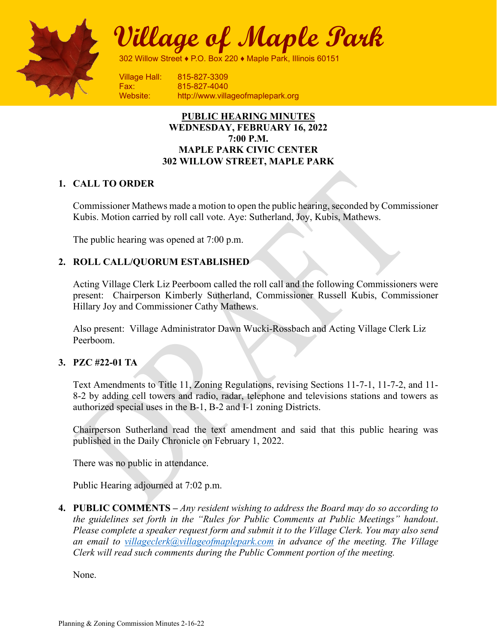

**Village of Maple Park**

302 Willow Street ♦ P.O. Box 220 ♦ Maple Park, Illinois 60151

Village Hall: 815-827-3309 Fax: 815-827-4040

Website: http://www.villageofmaplepark.org

#### **PUBLIC HEARING MINUTES WEDNESDAY, FEBRUARY 16, 2022 7:00 P.M. MAPLE PARK CIVIC CENTER 302 WILLOW STREET, MAPLE PARK**

### **1. CALL TO ORDER**

Commissioner Mathews made a motion to open the public hearing, seconded by Commissioner Kubis. Motion carried by roll call vote. Aye: Sutherland, Joy, Kubis, Mathews.

The public hearing was opened at 7:00 p.m.

#### **2. ROLL CALL/QUORUM ESTABLISHED**

Acting Village Clerk Liz Peerboom called the roll call and the following Commissioners were present: Chairperson Kimberly Sutherland, Commissioner Russell Kubis, Commissioner Hillary Joy and Commissioner Cathy Mathews.

Also present: Village Administrator Dawn Wucki-Rossbach and Acting Village Clerk Liz Peerboom.

#### **3. PZC #22-01 TA**

Text Amendments to Title 11, Zoning Regulations, revising Sections 11-7-1, 11-7-2, and 11- 8-2 by adding cell towers and radio, radar, telephone and televisions stations and towers as authorized special uses in the B-1, B-2 and I-1 zoning Districts.

Chairperson Sutherland read the text amendment and said that this public hearing was published in the Daily Chronicle on February 1, 2022.

There was no public in attendance.

Public Hearing adjourned at 7:02 p.m.

**4. PUBLIC COMMENTS –** *Any resident wishing to address the Board may do so according to the guidelines set forth in the "Rules for Public Comments at Public Meetings" handout*. *Please complete a speaker request form and submit it to the Village Clerk. You may also send an email to [villageclerk@villageofmaplepark.com](mailto:villageclerk@villageofmaplepark.com) in advance of the meeting. The Village Clerk will read such comments during the Public Comment portion of the meeting.*

None.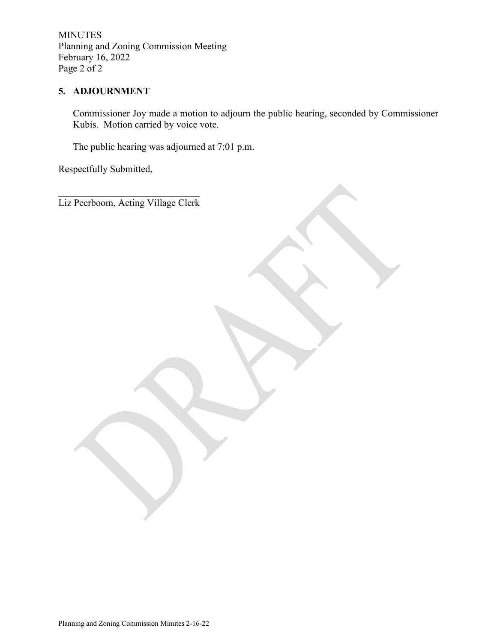MINUTES Planning and Zoning Commission Meeting February 16, 2022 Page 2 of 2

## **5. ADJOURNMENT**

Commissioner Joy made a motion to adjourn the public hearing, seconded by Commissioner Kubis. Motion carried by voice vote.

The public hearing was adjourned at 7:01 p.m.

Respectfully Submitted,

 $\mathcal{L}_\mathcal{L}$  , which is a set of the set of the set of the set of the set of the set of the set of the set of the set of the set of the set of the set of the set of the set of the set of the set of the set of the set of Liz Peerboom, Acting Village Clerk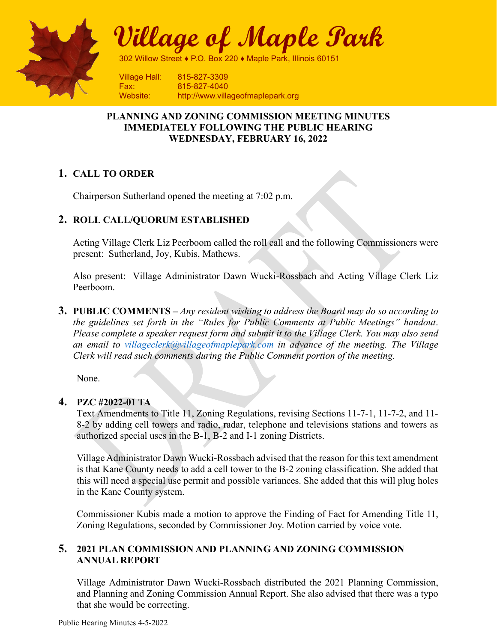

**Village of Maple Park**

302 Willow Street ♦ P.O. Box 220 ♦ Maple Park, Illinois 60151

Village Hall: 815-827-3309 Fax: 815-827-4040 Website: http://www.villageofmaplepark.org

## **PLANNING AND ZONING COMMISSION MEETING MINUTES IMMEDIATELY FOLLOWING THE PUBLIC HEARING WEDNESDAY, FEBRUARY 16, 2022**

## **1. CALL TO ORDER**

Chairperson Sutherland opened the meeting at 7:02 p.m.

## **2. ROLL CALL/QUORUM ESTABLISHED**

Acting Village Clerk Liz Peerboom called the roll call and the following Commissioners were present: Sutherland, Joy, Kubis, Mathews.

Also present: Village Administrator Dawn Wucki-Rossbach and Acting Village Clerk Liz Peerboom.

**3. PUBLIC COMMENTS –** *Any resident wishing to address the Board may do so according to the guidelines set forth in the "Rules for Public Comments at Public Meetings" handout*. *Please complete a speaker request form and submit it to the Village Clerk. You may also send an email to [villageclerk@villageofmaplepark.com](mailto:villageclerk@villageofmaplepark.com) in advance of the meeting. The Village Clerk will read such comments during the Public Comment portion of the meeting.*

None.

### **4. PZC #2022-01 TA**

Text Amendments to Title 11, Zoning Regulations, revising Sections 11-7-1, 11-7-2, and 11- 8-2 by adding cell towers and radio, radar, telephone and televisions stations and towers as authorized special uses in the B-1, B-2 and I-1 zoning Districts.

Village Administrator Dawn Wucki-Rossbach advised that the reason for this text amendment is that Kane County needs to add a cell tower to the B-2 zoning classification. She added that this will need a special use permit and possible variances. She added that this will plug holes in the Kane County system.

Commissioner Kubis made a motion to approve the Finding of Fact for Amending Title 11, Zoning Regulations, seconded by Commissioner Joy. Motion carried by voice vote.

### **5. 2021 PLAN COMMISSION AND PLANNING AND ZONING COMMISSION ANNUAL REPORT**

Village Administrator Dawn Wucki-Rossbach distributed the 2021 Planning Commission, and Planning and Zoning Commission Annual Report. She also advised that there was a typo that she would be correcting.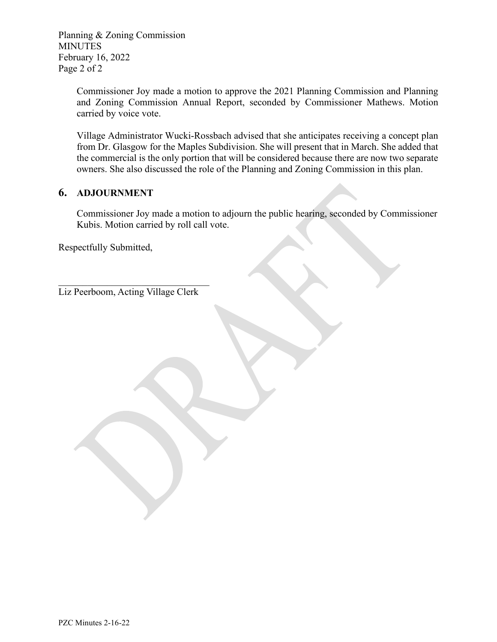Planning & Zoning Commission **MINUTES** February 16, 2022 Page 2 of 2

> Commissioner Joy made a motion to approve the 2021 Planning Commission and Planning and Zoning Commission Annual Report, seconded by Commissioner Mathews. Motion carried by voice vote.

> Village Administrator Wucki-Rossbach advised that she anticipates receiving a concept plan from Dr. Glasgow for the Maples Subdivision. She will present that in March. She added that the commercial is the only portion that will be considered because there are now two separate owners. She also discussed the role of the Planning and Zoning Commission in this plan.

## **6. ADJOURNMENT**

Commissioner Joy made a motion to adjourn the public hearing, seconded by Commissioner Kubis. Motion carried by roll call vote.

Respectfully Submitted,

 $\mathcal{L}_\mathcal{L}$ Liz Peerboom, Acting Village Clerk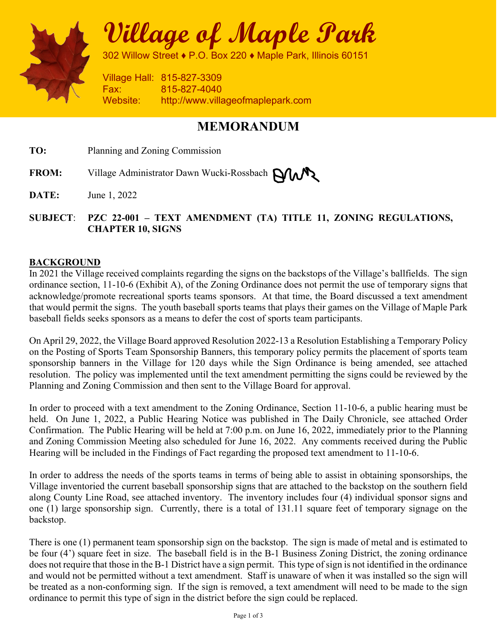

**Village of Maple Park** 

302 Willow Street ♦ P.O. Box 220 ♦ Maple Park, Illinois 60151

Village Hall: 815-827-3309 Fax: 815-827-4040 Website: http://www.villageofmaplepark.com

## **MEMORANDUM**

**TO:** Planning and Zoning Commission

FROM: Village Administrator Dawn Wucki-Rossbach **PLAN** 

**DATE:** June 1, 2022

## **SUBJECT**: **PZC 22-001 – TEXT AMENDMENT (TA) TITLE 11, ZONING REGULATIONS, CHAPTER 10, SIGNS**

## **BACKGROUND**

In 2021 the Village received complaints regarding the signs on the backstops of the Village's ballfields. The sign ordinance section, 11-10-6 (Exhibit A), of the Zoning Ordinance does not permit the use of temporary signs that acknowledge/promote recreational sports teams sponsors. At that time, the Board discussed a text amendment that would permit the signs. The youth baseball sports teams that plays their games on the Village of Maple Park baseball fields seeks sponsors as a means to defer the cost of sports team participants.

On April 29, 2022, the Village Board approved Resolution 2022-13 a Resolution Establishing a Temporary Policy on the Posting of Sports Team Sponsorship Banners, this temporary policy permits the placement of sports team sponsorship banners in the Village for 120 days while the Sign Ordinance is being amended, see attached resolution. The policy was implemented until the text amendment permitting the signs could be reviewed by the Planning and Zoning Commission and then sent to the Village Board for approval.

In order to proceed with a text amendment to the Zoning Ordinance, Section 11-10-6, a public hearing must be held. On June 1, 2022, a Public Hearing Notice was published in The Daily Chronicle, see attached Order Confirmation. The Public Hearing will be held at 7:00 p.m. on June 16, 2022, immediately prior to the Planning and Zoning Commission Meeting also scheduled for June 16, 2022. Any comments received during the Public Hearing will be included in the Findings of Fact regarding the proposed text amendment to 11-10-6.

In order to address the needs of the sports teams in terms of being able to assist in obtaining sponsorships, the Village inventoried the current baseball sponsorship signs that are attached to the backstop on the southern field along County Line Road, see attached inventory. The inventory includes four (4) individual sponsor signs and one (1) large sponsorship sign. Currently, there is a total of 131.11 square feet of temporary signage on the backstop.

There is one (1) permanent team sponsorship sign on the backstop. The sign is made of metal and is estimated to be four (4') square feet in size. The baseball field is in the B-1 Business Zoning District, the zoning ordinance does not require that those in the B-1 District have a sign permit. This type of sign is not identified in the ordinance and would not be permitted without a text amendment. Staff is unaware of when it was installed so the sign will be treated as a non-conforming sign. If the sign is removed, a text amendment will need to be made to the sign ordinance to permit this type of sign in the district before the sign could be replaced.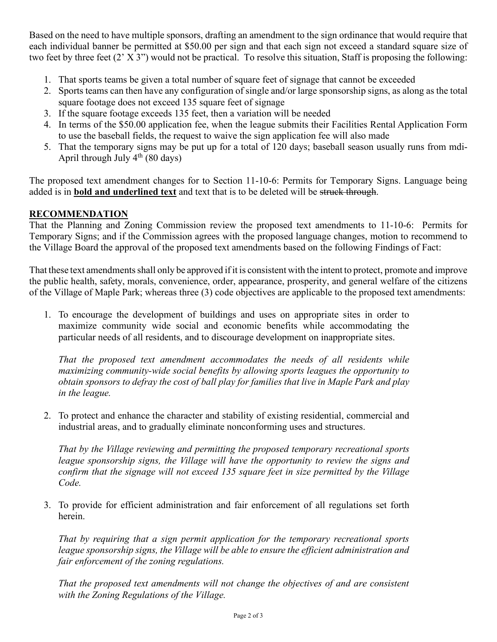Based on the need to have multiple sponsors, drafting an amendment to the sign ordinance that would require that each individual banner be permitted at \$50.00 per sign and that each sign not exceed a standard square size of two feet by three feet (2' X 3") would not be practical. To resolve this situation, Staff is proposing the following:

- 1. That sports teams be given a total number of square feet of signage that cannot be exceeded
- 2. Sports teams can then have any configuration of single and/or large sponsorship signs, as along as the total square footage does not exceed 135 square feet of signage
- 3. If the square footage exceeds 135 feet, then a variation will be needed
- 4. In terms of the \$50.00 application fee, when the league submits their Facilities Rental Application Form to use the baseball fields, the request to waive the sign application fee will also made
- 5. That the temporary signs may be put up for a total of 120 days; baseball season usually runs from mdi-April through July  $4^{th}$  (80 days)

The proposed text amendment changes for to Section 11-10-6: Permits for Temporary Signs. Language being added is in **bold and underlined text** and text that is to be deleted will be struck through.

## **RECOMMENDATION**

That the Planning and Zoning Commission review the proposed text amendments to 11-10-6: Permits for Temporary Signs; and if the Commission agrees with the proposed language changes, motion to recommend to the Village Board the approval of the proposed text amendments based on the following Findings of Fact:

That these text amendments shall only be approved ifit is consistent with the intent to protect, promote and improve the public health, safety, morals, convenience, order, appearance, prosperity, and general welfare of the citizens of the Village of Maple Park; whereas three (3) code objectives are applicable to the proposed text amendments:

1. To encourage the development of buildings and uses on appropriate sites in order to maximize community wide social and economic benefits while accommodating the particular needs of all residents, and to discourage development on inappropriate sites.

*That the proposed text amendment accommodates the needs of all residents while maximizing community-wide social benefits by allowing sports leagues the opportunity to obtain sponsors to defray the cost of ball play for families that live in Maple Park and play in the league.* 

2. To protect and enhance the character and stability of existing residential, commercial and industrial areas, and to gradually eliminate nonconforming uses and structures.

*That by the Village reviewing and permitting the proposed temporary recreational sports league sponsorship signs, the Village will have the opportunity to review the signs and confirm that the signage will not exceed 135 square feet in size permitted by the Village Code.* 

3. To provide for efficient administration and fair enforcement of all regulations set forth herein.

*That by requiring that a sign permit application for the temporary recreational sports league sponsorship signs, the Village will be able to ensure the efficient administration and fair enforcement of the zoning regulations.* 

*That the proposed text amendments will not change the objectives of and are consistent with the Zoning Regulations of the Village.*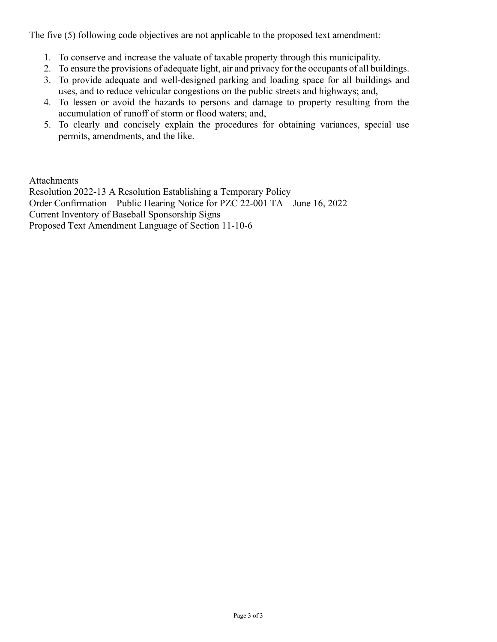The five (5) following code objectives are not applicable to the proposed text amendment:

- 1. To conserve and increase the valuate of taxable property through this municipality.
- 2. To ensure the provisions of adequate light, air and privacy for the occupants of all buildings.
- 3. To provide adequate and well-designed parking and loading space for all buildings and uses, and to reduce vehicular congestions on the public streets and highways; and,
- 4. To lessen or avoid the hazards to persons and damage to property resulting from the accumulation of runoff of storm or flood waters; and,
- 5. To clearly and concisely explain the procedures for obtaining variances, special use permits, amendments, and the like.

Attachments Resolution 2022-13 A Resolution Establishing a Temporary Policy Order Confirmation – Public Hearing Notice for PZC 22-001 TA – June 16, 2022 Current Inventory of Baseball Sponsorship Signs Proposed Text Amendment Language of Section 11-10-6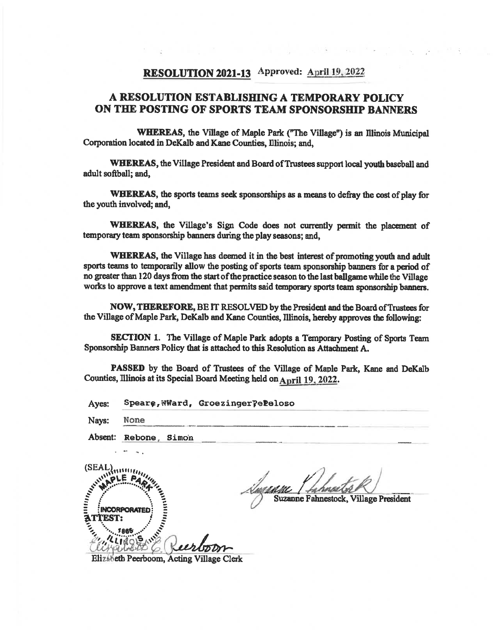## RESOLUTION 2021-13 Approved: April 19, 2022

## A RESOLUTION ESTABLISHING A TEMPORARY POLICY ON THE POSTING OF SPORTS TEAM SPONSORSHIP BANNERS

**WHEREAS, the Village of Maple Park ("The Village") is an Illinois Municipal** Corporation located in DeKalb and Kane Counties, Illinois; and,

WHEREAS, the Village President and Board of Trustees support local youth baseball and adult softball; and,

WHEREAS, the sports teams seek sponsorships as a means to defray the cost of play for the youth involved; and,

WHEREAS, the Village's Sign Code does not currently permit the placement of temporary team sponsorship banners during the play seasons; and,

WHEREAS, the Village has deemed it in the best interest of promoting youth and adult sports teams to temporarily allow the posting of sports team sponsorship banners for a period of no greater than 120 days from the start of the practice season to the last ballgame while the Village works to approve a text amendment that permits said temporary sports team sponsorship banners.

NOW, THEREFORE, BE IT RESOLVED by the President and the Board of Trustees for the Village of Maple Park, DeKalb and Kane Counties, Illinois, hereby approves the following:

**SECTION 1.** The Village of Maple Park adopts a Temporary Posting of Sports Team Sponsorship Banners Policy that is attached to this Resolution as Attachment A.

PASSED by the Board of Trustees of the Village of Maple Park, Kane and DeKalb Counties, Illinois at its Special Board Meeting held on April 19, 2022.

Speare, WWard, Groezinger?eleloso Ayes:

Navs: **None** 

Absent: Rebone, Simon

 $(SEAL)$ **ATTERIAL INCORPORATE** 

Suzanne Fahnestock, Village President

Elizabeth Peerboom, Acting Village Clerk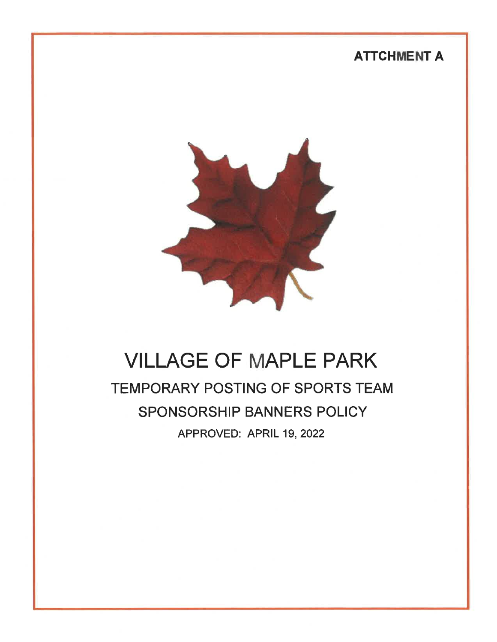## **ATTCHMENT A**



# **VILLAGE OF MAPLE PARK** TEMPORARY POSTING OF SPORTS TEAM SPONSORSHIP BANNERS POLICY APPROVED: APRIL 19, 2022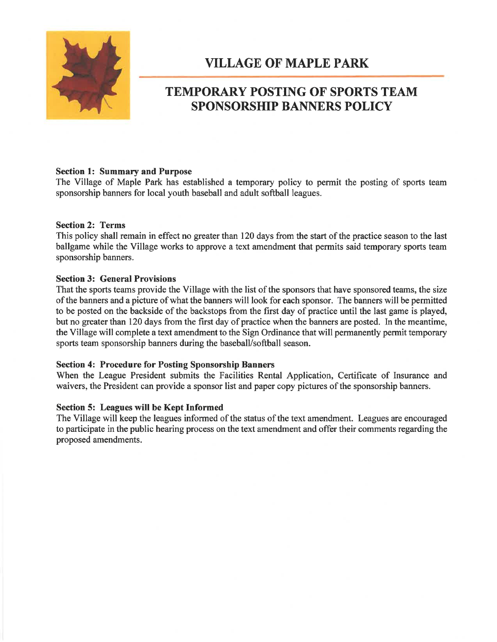

## **VILLAGE OF MAPLE PARK**

## **TEMPORARY POSTING OF SPORTS TEAM SPONSORSHIP BANNERS POLICY**

#### **Section 1: Summary and Purpose**

The Village of Maple Park has established a temporary policy to permit the posting of sports team sponsorship banners for local youth baseball and adult softball leagues.

#### **Section 2: Terms**

This policy shall remain in effect no greater than 120 days from the start of the practice season to the last ballgame while the Village works to approve a text amendment that permits said temporary sports team sponsorship banners.

#### **Section 3: General Provisions**

That the sports teams provide the Village with the list of the sponsors that have sponsored teams, the size of the banners and a picture of what the banners will look for each sponsor. The banners will be permitted to be posted on the backside of the backstops from the first day of practice until the last game is played, but no greater than 120 days from the first day of practice when the banners are posted. In the meantime, the Village will complete a text amendment to the Sign Ordinance that will permanently permit temporary sports team sponsorship banners during the baseball/softball season.

#### **Section 4: Procedure for Posting Sponsorship Banners**

When the League President submits the Facilities Rental Application, Certificate of Insurance and waivers, the President can provide a sponsor list and paper copy pictures of the sponsorship banners.

#### Section 5: Leagues will be Kept Informed

The Village will keep the leagues informed of the status of the text amendment. Leagues are encouraged to participate in the public hearing process on the text amendment and offer their comments regarding the proposed amendments.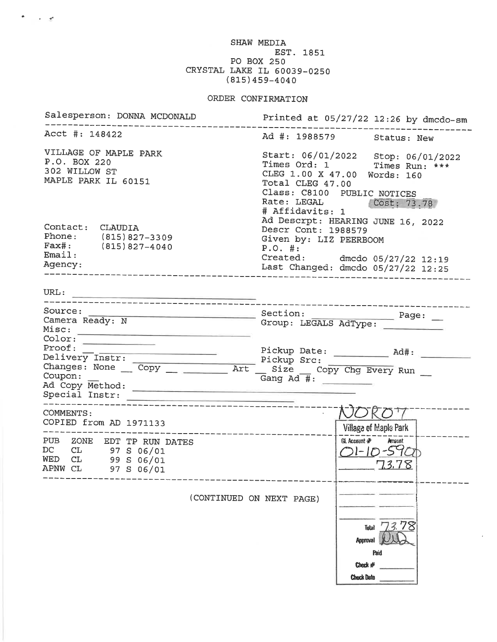SHAW MEDIA EST. 1851 PO BOX 250 CRYSTAL LAKE IL 60039-0250  $(815)459 - 4040$ 

 $\mathcal{P}(\mathcal{C})$  , and  $\mathcal{C}(\mathcal{C})$ 

## ORDER CONFIRMATION

| Salesperson: DONNA MCDONALD                                                                                                       | Printed at $05/27/22$ 12:26 by dmcdo-sm                                                                                                                                                              |  |  |  |
|-----------------------------------------------------------------------------------------------------------------------------------|------------------------------------------------------------------------------------------------------------------------------------------------------------------------------------------------------|--|--|--|
| Acct #: 148422                                                                                                                    | Ad #: 1988579 Status: New                                                                                                                                                                            |  |  |  |
| VILLAGE OF MAPLE PARK<br>P.O. BOX 220<br>302 WILLOW ST<br>MAPLE PARK IL 60151                                                     | Start: 06/01/2022 Stop: 06/01/2022<br>Times Ord: 1 Times Run: ***<br>CLEG 1.00 X 47.00 Words: 160<br>Total CLEG 47.00<br>Class: C8100 PUBLIC NOTICES<br>Rate: LEGAL (Cost; 73.78)<br># Affidavits: 1 |  |  |  |
| Contact: CLAUDIA<br>Phone: (815) 827-3309<br>$Fast: (815) 827-4040$<br>Email:<br>Agency:                                          | Ad Descrpt: HEARING JUNE 16, 2022<br>Descr Cont: 1988579<br>Given by: LIZ PEERBOOM<br>P.O. #:<br>Created: dmcdo 05/27/22 12:19<br>Last Changed: dmcdo 05/27/22 12:25                                 |  |  |  |
|                                                                                                                                   |                                                                                                                                                                                                      |  |  |  |
| Source: Page: Dection: Page: Dection: Page: Dection: Page: Dection: Page: Deck of Camera Ready: N<br>Color:                       | ------------------------------                                                                                                                                                                       |  |  |  |
| Proof:<br>Delivery Instr: Pickup Src:<br>Changes: None Copy ________ Art __ Size __ Copy Chg Every Run __<br>Coupon:              | Gang $Ad\overline{\#}$ :                                                                                                                                                                             |  |  |  |
| COMMENTS:<br>COPIED from AD 1971133                                                                                               | Village of Maple Park                                                                                                                                                                                |  |  |  |
| -----------------------------<br>PUB ZONE EDT TP RUN DATES<br>DC<br>CL 97 S 06/01<br>$WED CL$ 99 S 06/01<br>APNW CL<br>97 S 06/01 | GL Account #<br>Amount<br><u>OI-10-590</u><br>73.78                                                                                                                                                  |  |  |  |
| (CONTINUED ON NEXT PAGE)                                                                                                          |                                                                                                                                                                                                      |  |  |  |
|                                                                                                                                   | Total $73.78$<br><b>Approval</b><br>Paid<br>Check $#$<br><b>Check Date</b>                                                                                                                           |  |  |  |

 $\bar{z}$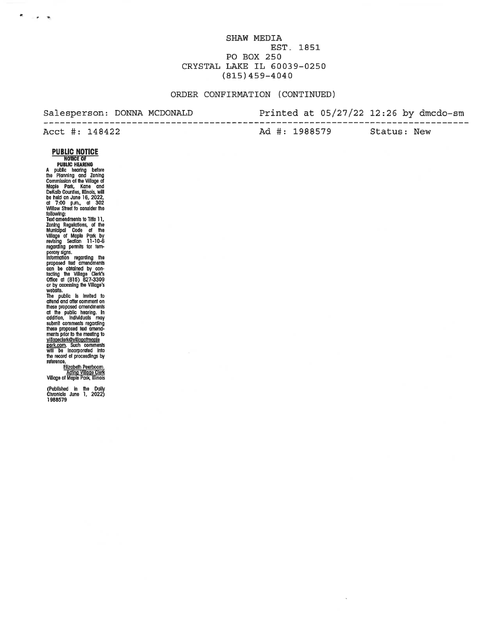SHAW MEDIA EST. 1851 PO BOX 250 CRYSTAL LAKE IL 60039-0250  $(815)459 - 4040$ 

#### ORDER CONFIRMATION (CONTINUED)

#### Salesperson: DONNA MCDONALD

#### Printed at  $05/27/22$  12:26 by dmcdo-sm

Acct #: 148422 Ad #: 1988579

Status: New

----------

## **PUBLIC NOTICE**

 $\sim$  $\rightarrow$ 

**PUBLIC NOTICE**<br>
NOTICE OF<br>
PUBLIC NOTICE<br>
NOTICE OF<br>
PUBLIC Heading bard<br>
the Planning and Zoning<br>
Commission of the Village of<br>
Maple Park, Kane and Zoning<br>
be held on June 16, 2022,<br>
of 7:00 p.m., at 302<br>
of Mullage of

shown comments regional and amendments proposed fax amendments<br>ments proposed fax amendments<br><u>profit.com</u>. Such comments<br>will be incorporated into<br>the record of proceedings by<br>trafarance reference.

Elizabeth Peerboom<br>Acting Village Clerk<br>Village of Maple Park, Illinois

(Published in the Daily<br>Chronicle June 1, 2022)<br>1988579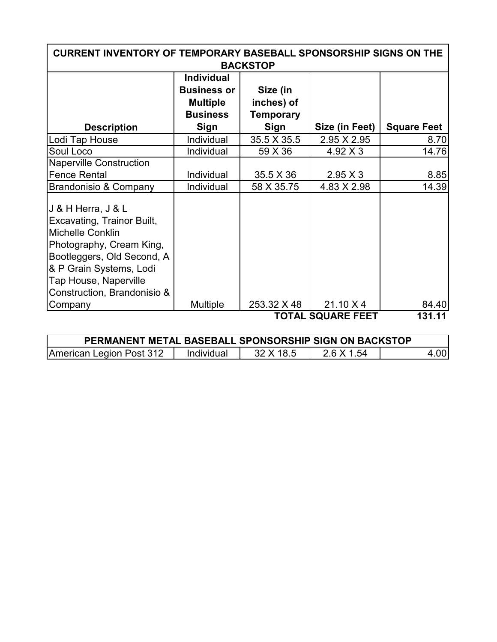| <b>CURRENT INVENTORY OF TEMPORARY BASEBALL SPONSORSHIP SIGNS ON THE</b><br><b>BACKSTOP</b>                                                                                                                               |                                                                                              |                                                           |                 |                    |  |  |  |
|--------------------------------------------------------------------------------------------------------------------------------------------------------------------------------------------------------------------------|----------------------------------------------------------------------------------------------|-----------------------------------------------------------|-----------------|--------------------|--|--|--|
| <b>Description</b>                                                                                                                                                                                                       | <b>Individual</b><br><b>Business or</b><br><b>Multiple</b><br><b>Business</b><br><b>Sign</b> | Size (in<br>inches) of<br><b>Temporary</b><br><b>Sign</b> | Size (in Feet)  | <b>Square Feet</b> |  |  |  |
| Lodi Tap House                                                                                                                                                                                                           | Individual                                                                                   | 35.5 X 35.5                                               | 2.95 X 2.95     |                    |  |  |  |
| Soul Loco                                                                                                                                                                                                                | Individual                                                                                   | 59 X 36                                                   | $4.92 \times 3$ | 8.70<br>14.76      |  |  |  |
| <b>Naperville Construction</b>                                                                                                                                                                                           |                                                                                              |                                                           |                 |                    |  |  |  |
| <b>Fence Rental</b>                                                                                                                                                                                                      | Individual                                                                                   | 35.5 X 36                                                 | $2.95 \times 3$ | 8.85               |  |  |  |
| Brandonisio & Company                                                                                                                                                                                                    | Individual                                                                                   | 58 X 35.75                                                | 4.83 X 2.98     | 14.39              |  |  |  |
| J & H Herra, J & L<br>Excavating, Trainor Built,<br><b>Michelle Conklin</b><br>Photography, Cream King,<br>Bootleggers, Old Second, A<br>& P Grain Systems, Lodi<br>Tap House, Naperville<br>Construction, Brandonisio & |                                                                                              |                                                           |                 |                    |  |  |  |
| Company                                                                                                                                                                                                                  | <b>Multiple</b>                                                                              | 253.32 X 48                                               | 21.10 X 4       | 84.40              |  |  |  |
| <b>TOTAL SQUARE FEET</b><br>131.11                                                                                                                                                                                       |                                                                                              |                                                           |                 |                    |  |  |  |

| PERMANENT METAL BASEBALL SPONSORSHIP SIGN ON BACKSTOP |            |           |            |      |  |  |  |
|-------------------------------------------------------|------------|-----------|------------|------|--|--|--|
| American Legion Post 312                              | Individual | 32 X 18.5 | 2.6 X 1.54 | 4.00 |  |  |  |